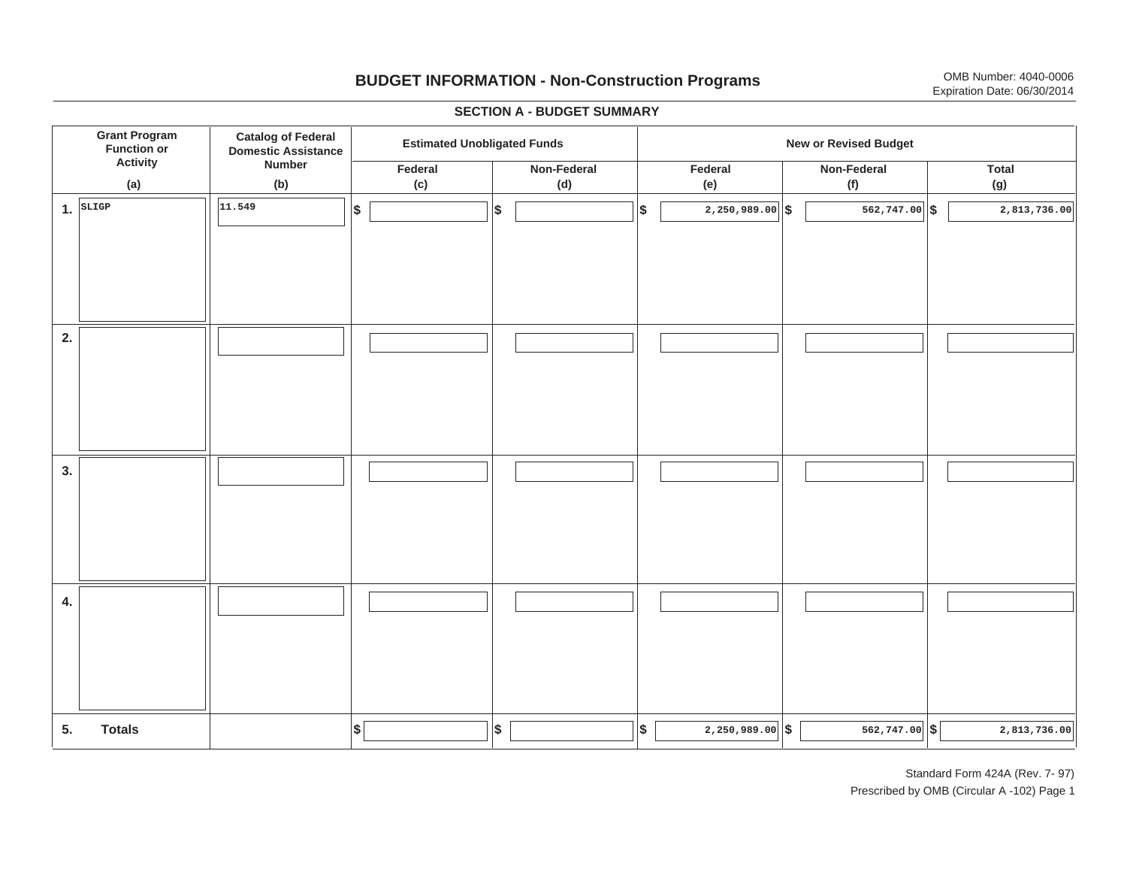# **BUDGET INFORMATION - Non-Construction Programs** OMB Number: 4040-0006 Expiration Date: 06/30/2014

**\$ Grant Program Function or Activity (a) Catalog of Federal Domestic Assistance Number (b) Estimated Unobligated Funds**<br> **Extimated Unobligated Funds Federal(c) Non-Federal(d) Federal(e) Non-Federal (f) Total(g) 5. Totals4. 3. 2. 1.SLIGP**. SLIGP | | <sup>|11.549</sup> | |\$ | |\$ | |\$ | 2,250,989.00||\$ | 562,747.00||\$ **\$ \$ \$ \$ \$ 2,250,989.00 562,747.00 2,813,736.00 11.5492,250,989.00 562,747.00 5 562,747.00 5** 

#### **SECTION A - BUDGET SUMMARY**

Standard Form 424A (Rev. 7- 97) Prescribed by OMB (Circular A -102) Page 1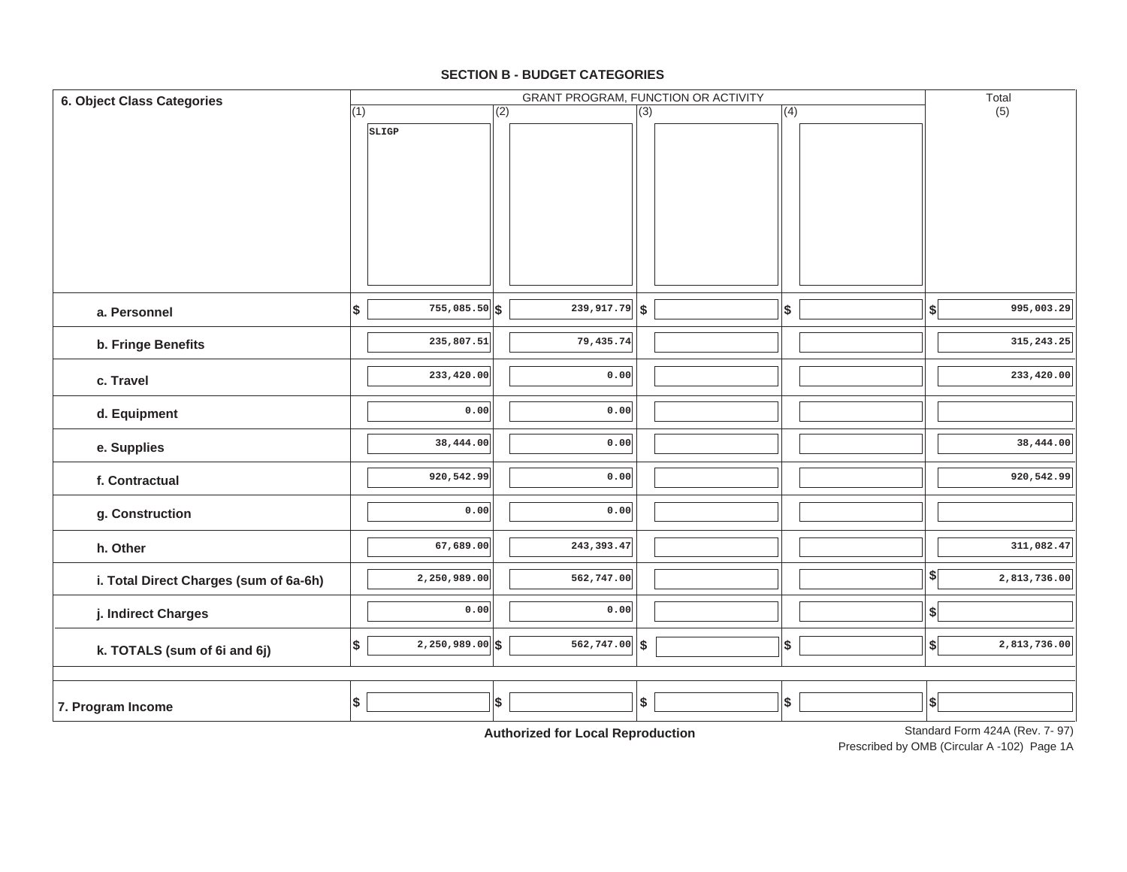#### **SECTION B - BUDGET CATEGORIES**

| (2)<br>(4)<br>$\overline{(3)}$<br>SLIGP<br>$755,085.50$ \$<br>$\overline{239,917.79}$ \$<br>\$<br>\$<br>$\left  \right\rangle$<br>a. Personnel<br>235,807.51<br>79,435.74<br>b. Fringe Benefits<br>233,420.00<br>0.00<br>c. Travel<br>0.00<br>0.00<br>d. Equipment<br>38,444.00<br>0.00<br>e. Supplies<br>920,542.99<br>0.00<br>f. Contractual<br>0.00<br>0.00<br>g. Construction<br>243, 393.47<br>67,689.00<br>h. Other<br>$\left  \frac{1}{2} \right $<br>2,250,989.00<br>562,747.00<br>i. Total Direct Charges (sum of 6a-6h)<br>0.00<br>0.00<br>$\boldsymbol{\$}$<br>j. Indirect Charges<br>$2,250,989.00$ \$<br>$562, 747.00$ \$<br>\$<br>$\boldsymbol{\$}$<br>$\left  \frac{1}{2} \right $<br>k. TOTALS (sum of 6i and 6j)<br>\$<br>$$\mathbb{S}$$<br>\$<br>\$<br>$ \$$<br>7. Program Income | 6. Object Class Categories |     | GRANT PROGRAM, FUNCTION OR ACTIVITY<br>Total |  |  |  |  |  |              |
|-----------------------------------------------------------------------------------------------------------------------------------------------------------------------------------------------------------------------------------------------------------------------------------------------------------------------------------------------------------------------------------------------------------------------------------------------------------------------------------------------------------------------------------------------------------------------------------------------------------------------------------------------------------------------------------------------------------------------------------------------------------------------------------------------------|----------------------------|-----|----------------------------------------------|--|--|--|--|--|--------------|
|                                                                                                                                                                                                                                                                                                                                                                                                                                                                                                                                                                                                                                                                                                                                                                                                     |                            | (1) |                                              |  |  |  |  |  | (5)          |
|                                                                                                                                                                                                                                                                                                                                                                                                                                                                                                                                                                                                                                                                                                                                                                                                     |                            |     |                                              |  |  |  |  |  |              |
|                                                                                                                                                                                                                                                                                                                                                                                                                                                                                                                                                                                                                                                                                                                                                                                                     |                            |     |                                              |  |  |  |  |  |              |
|                                                                                                                                                                                                                                                                                                                                                                                                                                                                                                                                                                                                                                                                                                                                                                                                     |                            |     |                                              |  |  |  |  |  |              |
|                                                                                                                                                                                                                                                                                                                                                                                                                                                                                                                                                                                                                                                                                                                                                                                                     |                            |     |                                              |  |  |  |  |  |              |
|                                                                                                                                                                                                                                                                                                                                                                                                                                                                                                                                                                                                                                                                                                                                                                                                     |                            |     |                                              |  |  |  |  |  |              |
|                                                                                                                                                                                                                                                                                                                                                                                                                                                                                                                                                                                                                                                                                                                                                                                                     |                            |     |                                              |  |  |  |  |  |              |
|                                                                                                                                                                                                                                                                                                                                                                                                                                                                                                                                                                                                                                                                                                                                                                                                     |                            |     |                                              |  |  |  |  |  |              |
|                                                                                                                                                                                                                                                                                                                                                                                                                                                                                                                                                                                                                                                                                                                                                                                                     |                            |     |                                              |  |  |  |  |  | 995,003.29   |
|                                                                                                                                                                                                                                                                                                                                                                                                                                                                                                                                                                                                                                                                                                                                                                                                     |                            |     |                                              |  |  |  |  |  | 315, 243. 25 |
|                                                                                                                                                                                                                                                                                                                                                                                                                                                                                                                                                                                                                                                                                                                                                                                                     |                            |     |                                              |  |  |  |  |  | 233,420.00   |
|                                                                                                                                                                                                                                                                                                                                                                                                                                                                                                                                                                                                                                                                                                                                                                                                     |                            |     |                                              |  |  |  |  |  |              |
|                                                                                                                                                                                                                                                                                                                                                                                                                                                                                                                                                                                                                                                                                                                                                                                                     |                            |     |                                              |  |  |  |  |  | 38,444.00    |
|                                                                                                                                                                                                                                                                                                                                                                                                                                                                                                                                                                                                                                                                                                                                                                                                     |                            |     |                                              |  |  |  |  |  | 920,542.99   |
|                                                                                                                                                                                                                                                                                                                                                                                                                                                                                                                                                                                                                                                                                                                                                                                                     |                            |     |                                              |  |  |  |  |  |              |
|                                                                                                                                                                                                                                                                                                                                                                                                                                                                                                                                                                                                                                                                                                                                                                                                     |                            |     |                                              |  |  |  |  |  | 311,082.47   |
|                                                                                                                                                                                                                                                                                                                                                                                                                                                                                                                                                                                                                                                                                                                                                                                                     |                            |     |                                              |  |  |  |  |  | 2,813,736.00 |
|                                                                                                                                                                                                                                                                                                                                                                                                                                                                                                                                                                                                                                                                                                                                                                                                     |                            |     |                                              |  |  |  |  |  |              |
|                                                                                                                                                                                                                                                                                                                                                                                                                                                                                                                                                                                                                                                                                                                                                                                                     |                            |     |                                              |  |  |  |  |  | 2,813,736.00 |
|                                                                                                                                                                                                                                                                                                                                                                                                                                                                                                                                                                                                                                                                                                                                                                                                     |                            |     |                                              |  |  |  |  |  |              |
| Standard Form 4244 (Rev. 7, 97)                                                                                                                                                                                                                                                                                                                                                                                                                                                                                                                                                                                                                                                                                                                                                                     |                            |     |                                              |  |  |  |  |  |              |

**Authorized for Local Reproduction**

Standard Form 424A (Rev. 7- 97)

Prescribed by OMB (Circular A -102) Page 1A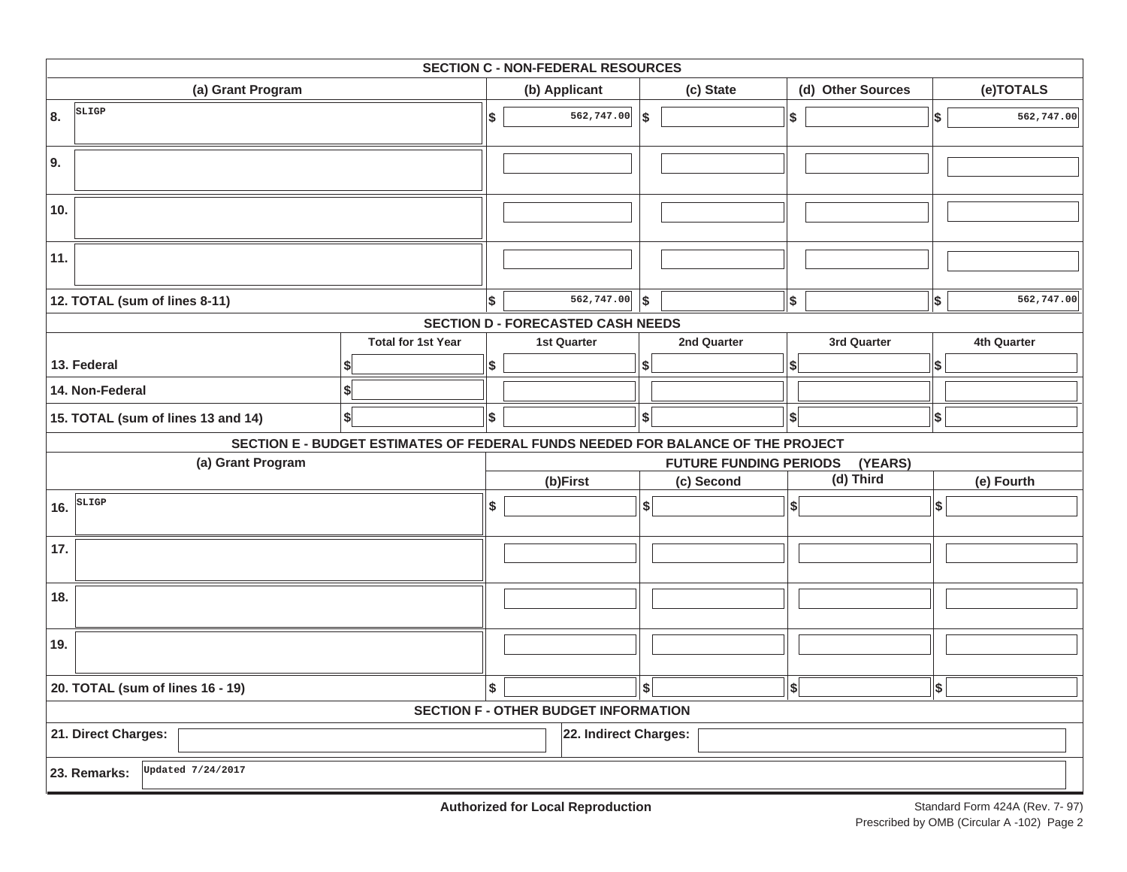| <b>SECTION C - NON-FEDERAL RESOURCES</b>     |                                                                                 |    |                                          |    |                               |                          |                   |                           |             |  |
|----------------------------------------------|---------------------------------------------------------------------------------|----|------------------------------------------|----|-------------------------------|--------------------------|-------------------|---------------------------|-------------|--|
| (a) Grant Program                            |                                                                                 |    | (b) Applicant                            |    | (c) State                     |                          | (d) Other Sources |                           | (e)TOTALS   |  |
| SLIGP<br>8.                                  |                                                                                 | \$ | 562,747.00                               | \$ |                               | $\sqrt{2}$               |                   | $\boldsymbol{\mathsf{s}}$ | 562,747.00  |  |
| 9.                                           |                                                                                 |    |                                          |    |                               |                          |                   |                           |             |  |
| 10.                                          |                                                                                 |    |                                          |    |                               |                          |                   |                           |             |  |
| 11.                                          |                                                                                 |    |                                          |    |                               |                          |                   |                           |             |  |
| 12. TOTAL (sum of lines 8-11)                |                                                                                 | \$ | $\overline{562,747.00}$ \\$              |    |                               | $\vert$ \$               |                   | $\boldsymbol{\mathsf{s}}$ | 562,747.00  |  |
|                                              |                                                                                 |    | <b>SECTION D - FORECASTED CASH NEEDS</b> |    |                               |                          |                   |                           |             |  |
|                                              | <b>Total for 1st Year</b>                                                       |    | <b>1st Quarter</b>                       |    | 2nd Quarter                   |                          | 3rd Quarter       |                           | 4th Quarter |  |
| 13. Federal                                  |                                                                                 | \$ |                                          | \$ |                               | S                        |                   | Ι\$                       |             |  |
| 14. Non-Federal                              | \$                                                                              |    |                                          |    |                               |                          |                   |                           |             |  |
| 15. TOTAL (sum of lines 13 and 14)           | $\boldsymbol{s}$                                                                | \$ |                                          | \$ |                               | $\vert \mathsf{s} \vert$ |                   | $\vert$ \$                |             |  |
|                                              | SECTION E - BUDGET ESTIMATES OF FEDERAL FUNDS NEEDED FOR BALANCE OF THE PROJECT |    |                                          |    |                               |                          |                   |                           |             |  |
| (a) Grant Program                            |                                                                                 |    |                                          |    | <b>FUTURE FUNDING PERIODS</b> |                          | (YEARS)           |                           |             |  |
|                                              |                                                                                 |    | (b)First                                 |    | (c) Second                    |                          | (d) Third         |                           | (e) Fourth  |  |
| SLIGP<br>16.                                 |                                                                                 | \$ |                                          | \$ |                               | \$                       |                   | \$                        |             |  |
| 17.                                          |                                                                                 |    |                                          |    |                               |                          |                   |                           |             |  |
| 18.                                          |                                                                                 |    |                                          |    |                               |                          |                   |                           |             |  |
| 19.                                          |                                                                                 |    |                                          |    |                               |                          |                   |                           |             |  |
| 20. TOTAL (sum of lines 16 - 19)             | \$                                                                              |    | $\hat{\mathbf{s}}$                       |    | $\boldsymbol{s}$              |                          | \$                |                           |             |  |
| <b>SECTION F - OTHER BUDGET INFORMATION</b>  |                                                                                 |    |                                          |    |                               |                          |                   |                           |             |  |
| 21. Direct Charges:<br>22. Indirect Charges: |                                                                                 |    |                                          |    |                               |                          |                   |                           |             |  |
| Updated 7/24/2017<br>23. Remarks:            |                                                                                 |    |                                          |    |                               |                          |                   |                           |             |  |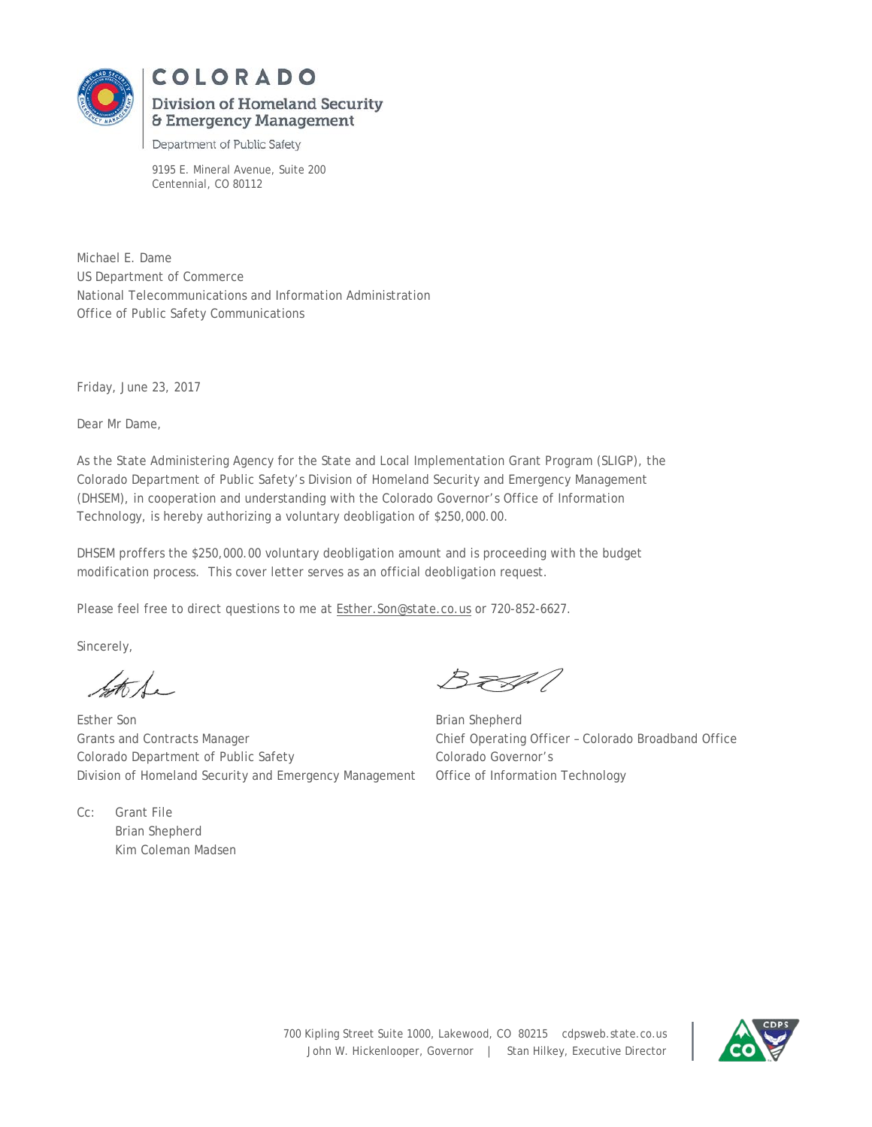

# **COLORADO Division of Homeland Security**  & **Emergency Management**

#### Department of Public Safety

9195 E. Mineral Avenue, Suite 200 Centennial, CO 80112

Michael E. Dame US Department of Commerce National Telecommunications and Information Administration Office of Public Safety Communications

Friday, June 23, 2017

Dear Mr Dame,

As the State Administering Agency for the State and Local Implementation Grant Program (SLIGP), the Colorado Department of Public Safety's Division of Homeland Security and Emergency Management (DHSEM), in cooperation and understanding with the Colorado Governor's Office of Information Technology, is hereby authorizing a voluntary deobligation of \$250,000.00.

DHSEM proffers the \$250,000.00 voluntary deobligation amount and is proceeding with the budget modification process. This cover letter serves as an official deobligation request.

Please feel free to direct questions to me at **Esther.** Son@state.co.us or 720-852-6627.

Sincerely,

 $\measuredangle$ to 1.

Cc: Grant File

Brian Shepherd Kim Coleman Madsen

Esther Son Brian Shepherd Grants and Contracts Manager Chief Operating Officer – Colorado Broadband Office Colorado Department of Public Safety Colorado Governor's Division of Homeland Security and Emergency Management Office of Information Technology

3. F.F.V

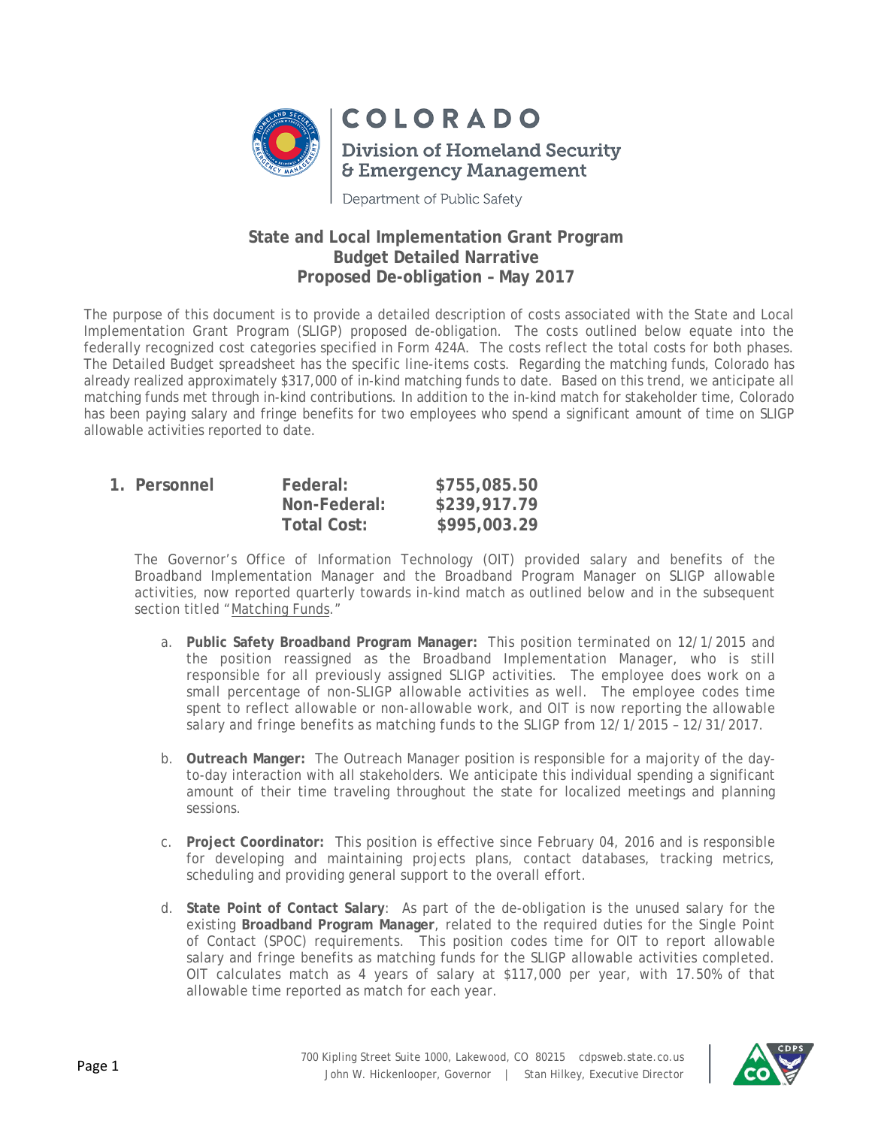

Department of Public Safety

## **State and Local Implementation Grant Program Budget Detailed Narrative Proposed De-obligation – May 2017**

The purpose of this document is to provide a detailed description of costs associated with the State and Local Implementation Grant Program (SLIGP) proposed de-obligation. The costs outlined below equate into the federally recognized cost categories specified in Form 424A. The costs reflect the total costs for both phases. The Detailed Budget spreadsheet has the specific line-items costs. Regarding the matching funds, Colorado has already realized approximately \$317,000 of in-kind matching funds to date. Based on this trend, we anticipate all matching funds met through in-kind contributions. In addition to the in-kind match for stakeholder time, Colorado has been paying salary and fringe benefits for two employees who spend a significant amount of time on SLIGP allowable activities reported to date.

| 1. Personnel | Federal:     | \$755,085.50 |
|--------------|--------------|--------------|
|              | Non-Federal: | \$239,917.79 |
|              | Total Cost:  | \$995,003.29 |

The Governor's Office of Information Technology (OIT) provided salary and benefits of the Broadband Implementation Manager and the Broadband Program Manager on SLIGP allowable activities, now reported quarterly towards in-kind match as outlined below and in the subsequent section titled "Matching Funds."

- a. **Public Safety Broadband Program Manager:** This position terminated on 12/1/2015 and the position reassigned as the Broadband Implementation Manager, who is still responsible for all previously assigned SLIGP activities. The employee does work on a small percentage of non-SLIGP allowable activities as well. The employee codes time spent to reflect allowable or non-allowable work, and OIT is now reporting the allowable salary and fringe benefits as matching funds to the SLIGP from 12/1/2015 – 12/31/2017.
- b. **Outreach Manger:** The Outreach Manager position is responsible for a majority of the dayto-day interaction with all stakeholders. We anticipate this individual spending a significant amount of their time traveling throughout the state for localized meetings and planning sessions.
- c. **Project Coordinator:** This position is effective since February 04, 2016 and is responsible for developing and maintaining projects plans, contact databases, tracking metrics, scheduling and providing general support to the overall effort.
- d. **State Point of Contact Salary**: As part of the de-obligation is the unused salary for the existing **Broadband Program Manager**, related to the required duties for the Single Point of Contact (SPOC) requirements. This position codes time for OIT to report allowable salary and fringe benefits as matching funds for the SLIGP allowable activities completed. OIT calculates match as 4 years of salary at \$117,000 per year, with 17.50% of that allowable time reported as match for each year.

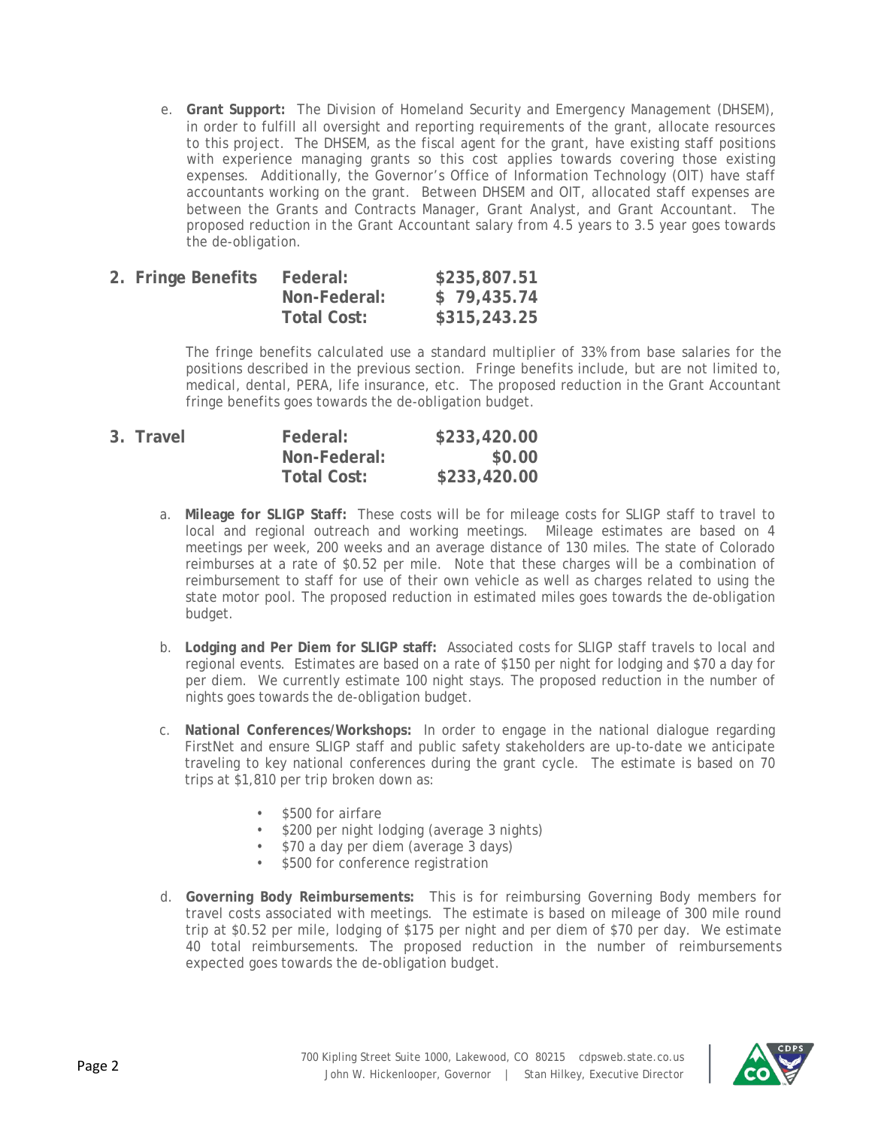e. **Grant Support:** The Division of Homeland Security and Emergency Management (DHSEM), in order to fulfill all oversight and reporting requirements of the grant, allocate resources to this project. The DHSEM, as the fiscal agent for the grant, have existing staff positions with experience managing grants so this cost applies towards covering those existing expenses. Additionally, the Governor's Office of Information Technology (OIT) have staff accountants working on the grant. Between DHSEM and OIT, allocated staff expenses are between the Grants and Contracts Manager, Grant Analyst, and Grant Accountant. The proposed reduction in the Grant Accountant salary from 4.5 years to 3.5 year goes towards the de-obligation.

| 2. Fringe Benefits | Federal:     | \$235,807.51 |
|--------------------|--------------|--------------|
|                    | Non-Federal: | \$79,435.74  |
|                    | Total Cost:  | \$315,243.25 |

The fringe benefits calculated use a standard multiplier of 33% from base salaries for the positions described in the previous section. Fringe benefits include, but are not limited to, medical, dental, PERA, life insurance, etc. The proposed reduction in the Grant Accountant fringe benefits goes towards the de-obligation budget.

| 3. Travel | Federal:           | \$233,420.00 |
|-----------|--------------------|--------------|
|           | Non-Federal:       | \$0.00       |
|           | <b>Total Cost:</b> | \$233,420.00 |

- a. **Mileage for SLIGP Staff:** These costs will be for mileage costs for SLIGP staff to travel to local and regional outreach and working meetings. Mileage estimates are based on 4 meetings per week, 200 weeks and an average distance of 130 miles. The state of Colorado reimburses at a rate of \$0.52 per mile. Note that these charges will be a combination of reimbursement to staff for use of their own vehicle as well as charges related to using the state motor pool. The proposed reduction in estimated miles goes towards the de-obligation budget.
- b. **Lodging and Per Diem for SLIGP staff:** Associated costs for SLIGP staff travels to local and regional events. Estimates are based on a rate of \$150 per night for lodging and \$70 a day for per diem. We currently estimate 100 night stays. The proposed reduction in the number of nights goes towards the de-obligation budget.
- c. **National Conferences/Workshops:** In order to engage in the national dialogue regarding FirstNet and ensure SLIGP staff and public safety stakeholders are up-to-date we anticipate traveling to key national conferences during the grant cycle. The estimate is based on 70 trips at \$1,810 per trip broken down as:
	- \$500 for airfare
	- \$200 per night lodging (average 3 nights)
	- \$70 a day per diem (average 3 days)
	- \$500 for conference registration
- d. **Governing Body Reimbursements:** This is for reimbursing Governing Body members for travel costs associated with meetings. The estimate is based on mileage of 300 mile round trip at \$0.52 per mile, lodging of \$175 per night and per diem of \$70 per day. We estimate 40 total reimbursements. The proposed reduction in the number of reimbursements expected goes towards the de-obligation budget.

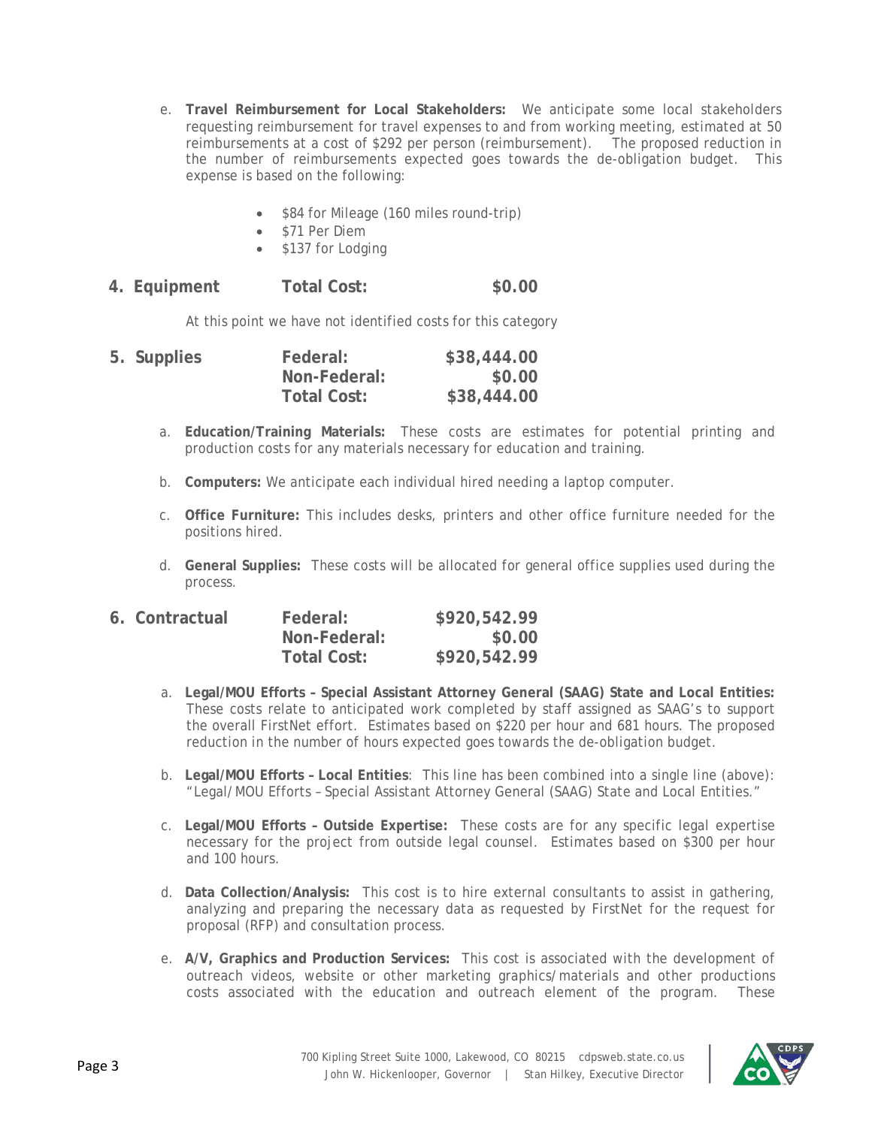- e. **Travel Reimbursement for Local Stakeholders:** We anticipate some local stakeholders requesting reimbursement for travel expenses to and from working meeting, estimated at 50 reimbursements at a cost of \$292 per person (reimbursement). The proposed reduction in the number of reimbursements expected goes towards the de-obligation budget. This expense is based on the following:
	- \$84 for Mileage (160 miles round-trip)
	- \$71 Per Diem
	- \$137 for Lodging

| \$0.00<br>Total Cost:<br>4. Equipment |  |
|---------------------------------------|--|
|---------------------------------------|--|

At this point we have not identified costs for this category

| 5. Supplies | Federal:           | \$38,444.00 |
|-------------|--------------------|-------------|
|             | Non-Federal:       | \$0.00      |
|             | <b>Total Cost:</b> | \$38,444.00 |

- a. **Education/Training Materials:** These costs are estimates for potential printing and production costs for any materials necessary for education and training.
- b. **Computers:** We anticipate each individual hired needing a laptop computer.
- c. **Office Furniture:** This includes desks, printers and other office furniture needed for the positions hired.
- d. **General Supplies:** These costs will be allocated for general office supplies used during the process.

| 6. Contractual | Federal:     | \$920,542.99 |
|----------------|--------------|--------------|
|                | Non-Federal: | \$0.00       |
|                | Total Cost:  | \$920,542.99 |

- a. **Legal/MOU Efforts – Special Assistant Attorney General (SAAG) State and Local Entities:**  These costs relate to anticipated work completed by staff assigned as SAAG's to support the overall FirstNet effort. Estimates based on \$220 per hour and 681 hours. The proposed reduction in the number of hours expected goes towards the de-obligation budget.
- b. **Legal/MOU Efforts – Local Entities**: This line has been combined into a single line (above): "Legal/MOU Efforts – Special Assistant Attorney General (SAAG) State and Local Entities."
- c. **Legal/MOU Efforts – Outside Expertise:** These costs are for any specific legal expertise necessary for the project from outside legal counsel. Estimates based on \$300 per hour and 100 hours.
- d. **Data Collection/Analysis:** This cost is to hire external consultants to assist in gathering, analyzing and preparing the necessary data as requested by FirstNet for the request for proposal (RFP) and consultation process.
- e. **A/V, Graphics and Production Services:** This cost is associated with the development of outreach videos, website or other marketing graphics/materials and other productions costs associated with the education and outreach element of the program. These

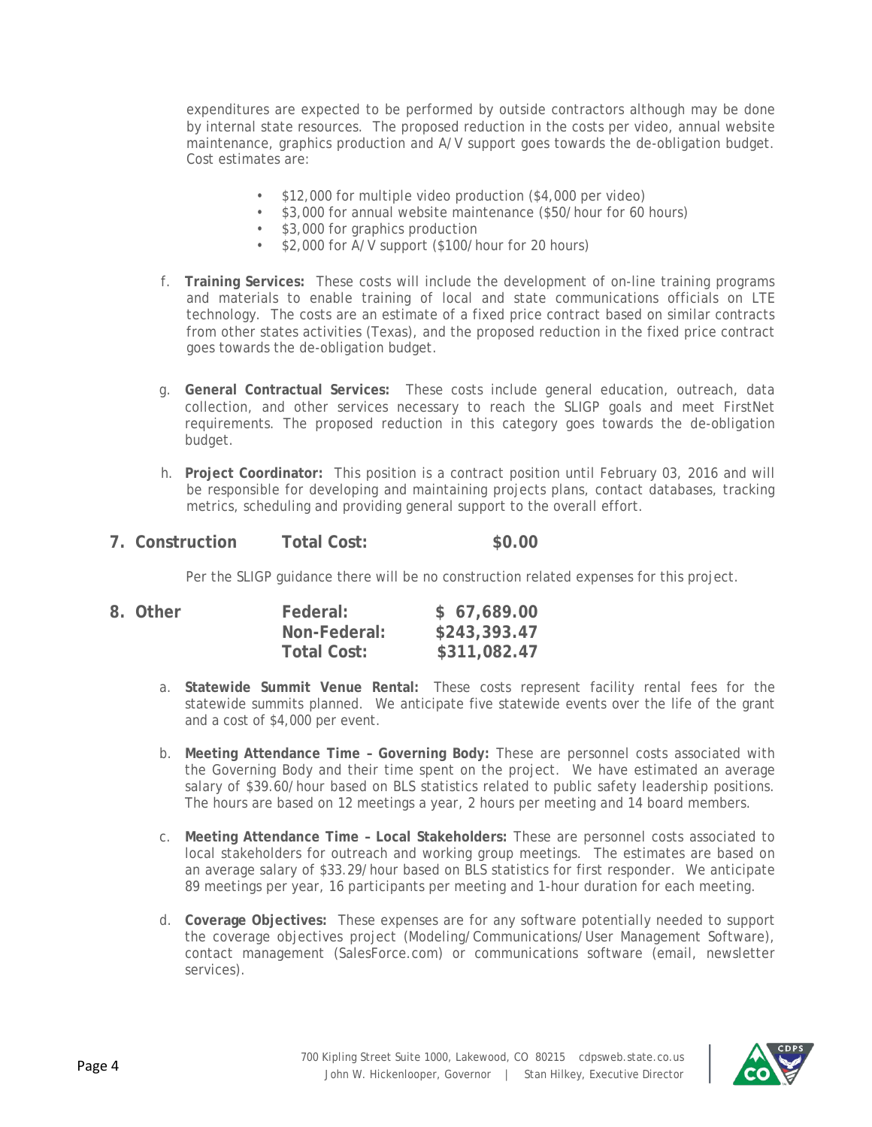expenditures are expected to be performed by outside contractors although may be done by internal state resources. The proposed reduction in the costs per video, annual website maintenance, graphics production and A/V support goes towards the de-obligation budget. Cost estimates are:

- \$12,000 for multiple video production (\$4,000 per video)
- \$3,000 for annual website maintenance (\$50/hour for 60 hours)
- \$3,000 for graphics production
- \$2,000 for A/V support (\$100/hour for 20 hours)
- f. **Training Services:** These costs will include the development of on-line training programs and materials to enable training of local and state communications officials on LTE technology. The costs are an estimate of a fixed price contract based on similar contracts from other states activities (Texas), and the proposed reduction in the fixed price contract goes towards the de-obligation budget.
- g. **General Contractual Services:** These costs include general education, outreach, data collection, and other services necessary to reach the SLIGP goals and meet FirstNet requirements. The proposed reduction in this category goes towards the de-obligation budget.
- h. **Project Coordinator:** This position is a contract position until February 03, 2016 and will be responsible for developing and maintaining projects plans, contact databases, tracking metrics, scheduling and providing general support to the overall effort.
- **7. Construction Total Cost: \$0.00**

Per the SLIGP guidance there will be no construction related expenses for this project.

| 8. Other | Federal:           | \$67,689.00  |
|----------|--------------------|--------------|
|          | Non-Federal:       | \$243,393.47 |
|          | <b>Total Cost:</b> | \$311,082.47 |

- a. **Statewide Summit Venue Rental:** These costs represent facility rental fees for the statewide summits planned. We anticipate five statewide events over the life of the grant and a cost of \$4,000 per event.
- b. **Meeting Attendance Time – Governing Body:** These are personnel costs associated with the Governing Body and their time spent on the project. We have estimated an average salary of \$39.60/hour based on BLS statistics related to public safety leadership positions. The hours are based on 12 meetings a year, 2 hours per meeting and 14 board members.
- c. **Meeting Attendance Time – Local Stakeholders:** These are personnel costs associated to local stakeholders for outreach and working group meetings. The estimates are based on an average salary of \$33.29/hour based on BLS statistics for first responder. We anticipate 89 meetings per year, 16 participants per meeting and 1-hour duration for each meeting.
- d. **Coverage Objectives:** These expenses are for any software potentially needed to support the coverage objectives project (Modeling/Communications/User Management Software), contact management (SalesForce.com) or communications software (email, newsletter services).

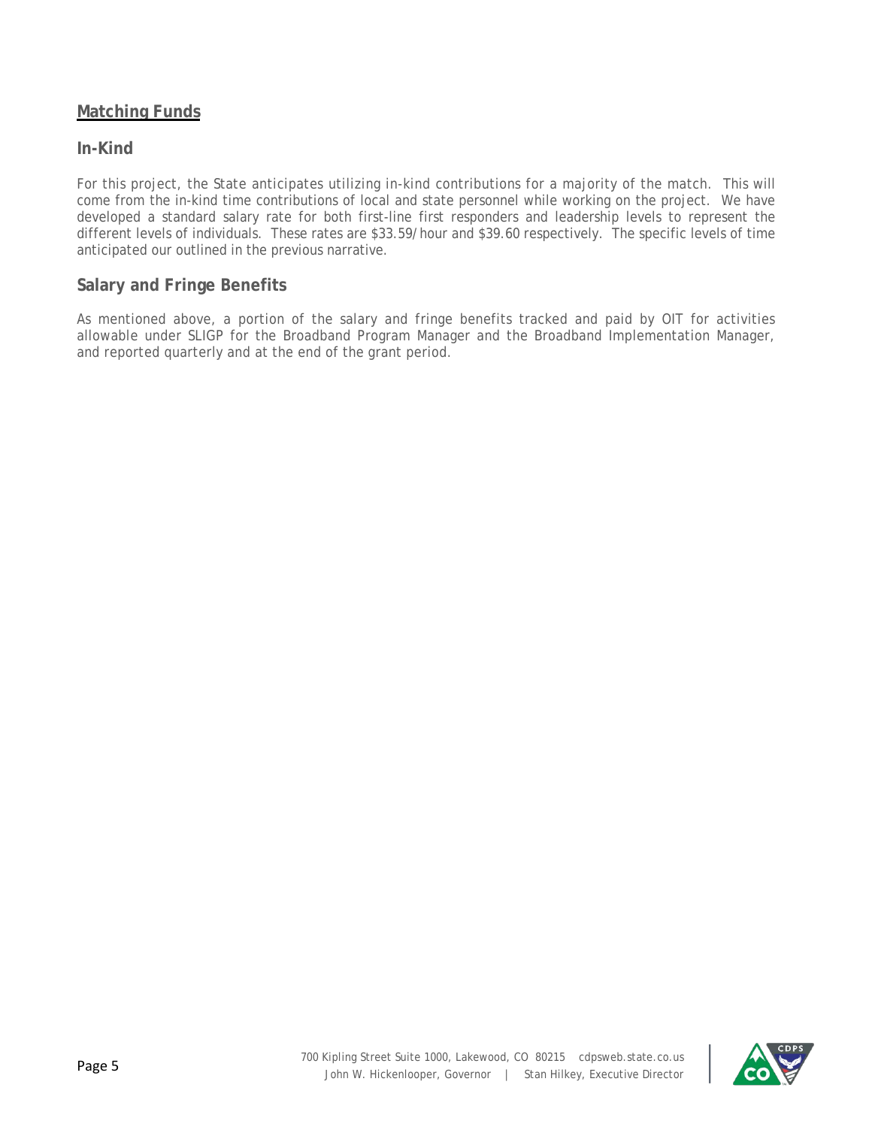## **Matching Funds**

### **In-Kind**

For this project, the State anticipates utilizing in-kind contributions for a majority of the match. This will come from the in-kind time contributions of local and state personnel while working on the project. We have developed a standard salary rate for both first-line first responders and leadership levels to represent the different levels of individuals. These rates are \$33.59/hour and \$39.60 respectively. The specific levels of time anticipated our outlined in the previous narrative.

### **Salary and Fringe Benefits**

As mentioned above, a portion of the salary and fringe benefits tracked and paid by OIT for activities allowable under SLIGP for the Broadband Program Manager and the Broadband Implementation Manager, and reported quarterly and at the end of the grant period.

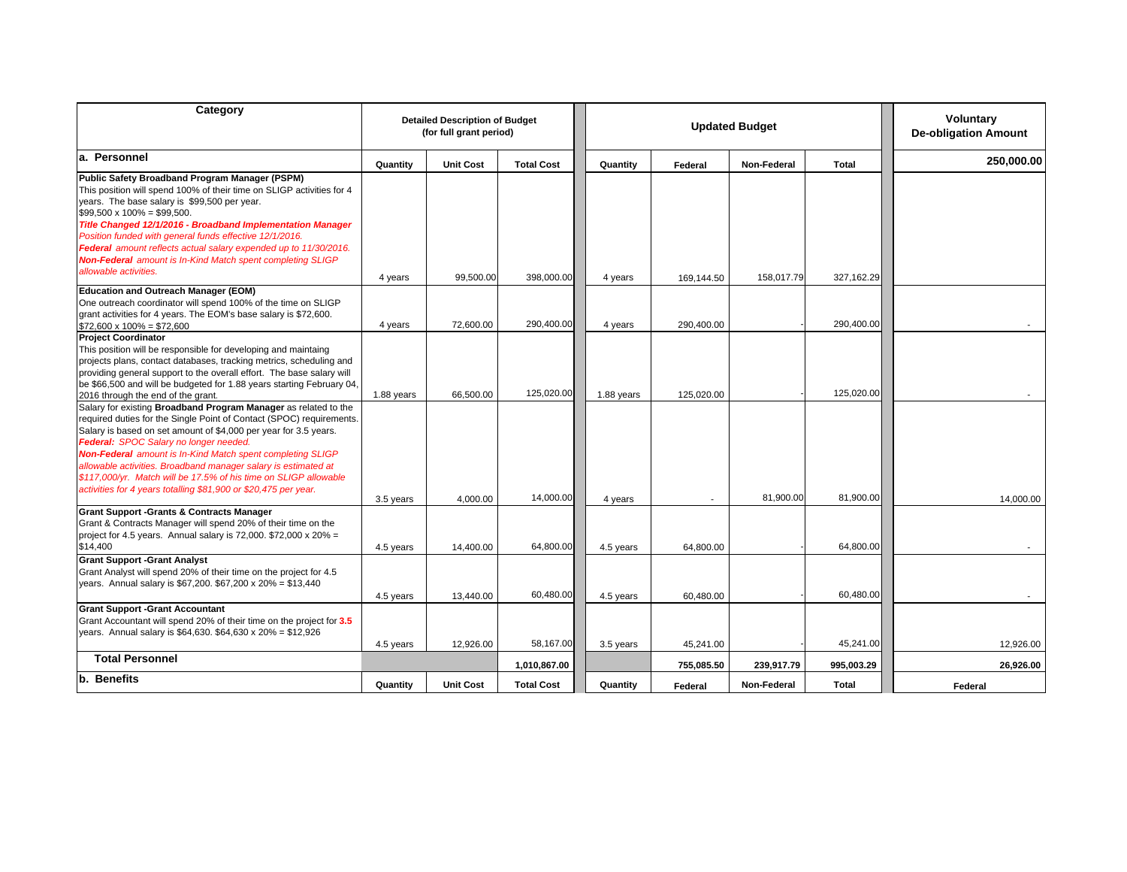| Category                                                                                                                                                                                                                                                                                                                                                                                                                                                                                                                            | <b>Detailed Description of Budget</b><br>(for full grant period) |                        |                   | <b>Updated Budget</b> |            |             |            | <b>Voluntary</b><br><b>De-obligation Amount</b> |
|-------------------------------------------------------------------------------------------------------------------------------------------------------------------------------------------------------------------------------------------------------------------------------------------------------------------------------------------------------------------------------------------------------------------------------------------------------------------------------------------------------------------------------------|------------------------------------------------------------------|------------------------|-------------------|-----------------------|------------|-------------|------------|-------------------------------------------------|
| a. Personnel                                                                                                                                                                                                                                                                                                                                                                                                                                                                                                                        | Quantity                                                         | <b>Unit Cost</b>       | <b>Total Cost</b> | Quantity              | Federal    | Non-Federal | Total      | 250,000.00                                      |
| Public Safety Broadband Program Manager (PSPM)<br>This position will spend 100% of their time on SLIGP activities for 4<br>years. The base salary is \$99,500 per year.<br>$$99,500 \times 100\% = $99,500.$<br>Title Changed 12/1/2016 - Broadband Implementation Manager<br>Position funded with general funds effective 12/1/2016.<br>Federal amount reflects actual salary expended up to 11/30/2016.<br><b>Non-Federal</b> amount is In-Kind Match spent completing SLIGP<br>allowable activities.                             | 4 years                                                          | 99,500.00              | 398,000.00        | 4 years               | 169,144.50 | 158,017.79  | 327,162.29 |                                                 |
| <b>Education and Outreach Manager (EOM)</b><br>One outreach coordinator will spend 100% of the time on SLIGP<br>grant activities for 4 years. The EOM's base salary is \$72,600.                                                                                                                                                                                                                                                                                                                                                    |                                                                  |                        | 290,400.00        |                       |            |             | 290,400.00 |                                                 |
| $$72.600 \times 100\% = $72.600$<br><b>Project Coordinator</b>                                                                                                                                                                                                                                                                                                                                                                                                                                                                      | 4 years                                                          | 72,600.00              |                   | 4 years               | 290,400.00 |             |            |                                                 |
| This position will be responsible for developing and maintaing<br>projects plans, contact databases, tracking metrics, scheduling and<br>providing general support to the overall effort. The base salary will<br>be \$66,500 and will be budgeted for 1.88 years starting February 04,<br>2016 through the end of the grant.                                                                                                                                                                                                       | 1.88 years                                                       | 66,500.00              | 125,020.00        | 1.88 years            | 125,020.00 |             | 125,020.00 |                                                 |
| Salary for existing Broadband Program Manager as related to the<br>required duties for the Single Point of Contact (SPOC) requirements.<br>Salary is based on set amount of \$4,000 per year for 3.5 years.<br>Federal: SPOC Salary no longer needed.<br><b>Non-Federal</b> amount is In-Kind Match spent completing SLIGP<br>allowable activities. Broadband manager salary is estimated at<br>\$117,000/yr. Match will be 17.5% of his time on SLIGP allowable<br>activities for 4 years totalling \$81,900 or \$20,475 per year. |                                                                  |                        |                   |                       |            |             |            |                                                 |
|                                                                                                                                                                                                                                                                                                                                                                                                                                                                                                                                     | 3.5 years                                                        | 4,000.00               | 14,000.00         | 4 years               |            | 81,900.00   | 81,900.00  | 14,000.00                                       |
| <b>Grant Support -Grants &amp; Contracts Manager</b><br>Grant & Contracts Manager will spend 20% of their time on the<br>project for 4.5 years. Annual salary is 72,000. $$72,000 \times 20\% =$<br>\$14,400                                                                                                                                                                                                                                                                                                                        | 4.5 years                                                        | 14.400.00              | 64,800.00         | 4.5 years             | 64.800.00  |             | 64,800.00  |                                                 |
| <b>Grant Support -Grant Analyst</b><br>Grant Analyst will spend 20% of their time on the project for 4.5<br>years. Annual salary is \$67,200. \$67,200 x 20% = \$13,440                                                                                                                                                                                                                                                                                                                                                             |                                                                  |                        | 60,480.00         |                       |            |             | 60,480.00  |                                                 |
| <b>Grant Support -Grant Accountant</b><br>Grant Accountant will spend 20% of their time on the project for 3.5<br>years. Annual salary is \$64,630. \$64,630 x 20% = \$12,926                                                                                                                                                                                                                                                                                                                                                       | 4.5 years                                                        | 13,440.00<br>12,926.00 | 58,167.00         | 4.5 years             | 60,480.00  |             | 45,241.00  |                                                 |
| <b>Total Personnel</b>                                                                                                                                                                                                                                                                                                                                                                                                                                                                                                              | 4.5 years                                                        |                        |                   | 3.5 years             | 45,241.00  |             |            | 12,926.00                                       |
| b. Benefits                                                                                                                                                                                                                                                                                                                                                                                                                                                                                                                         |                                                                  |                        | 1,010,867.00      |                       | 755,085.50 | 239,917.79  | 995,003.29 | 26,926.00                                       |
|                                                                                                                                                                                                                                                                                                                                                                                                                                                                                                                                     | Quantity                                                         | <b>Unit Cost</b>       | <b>Total Cost</b> | Quantity              | Federal    | Non-Federal | Total      | Federal                                         |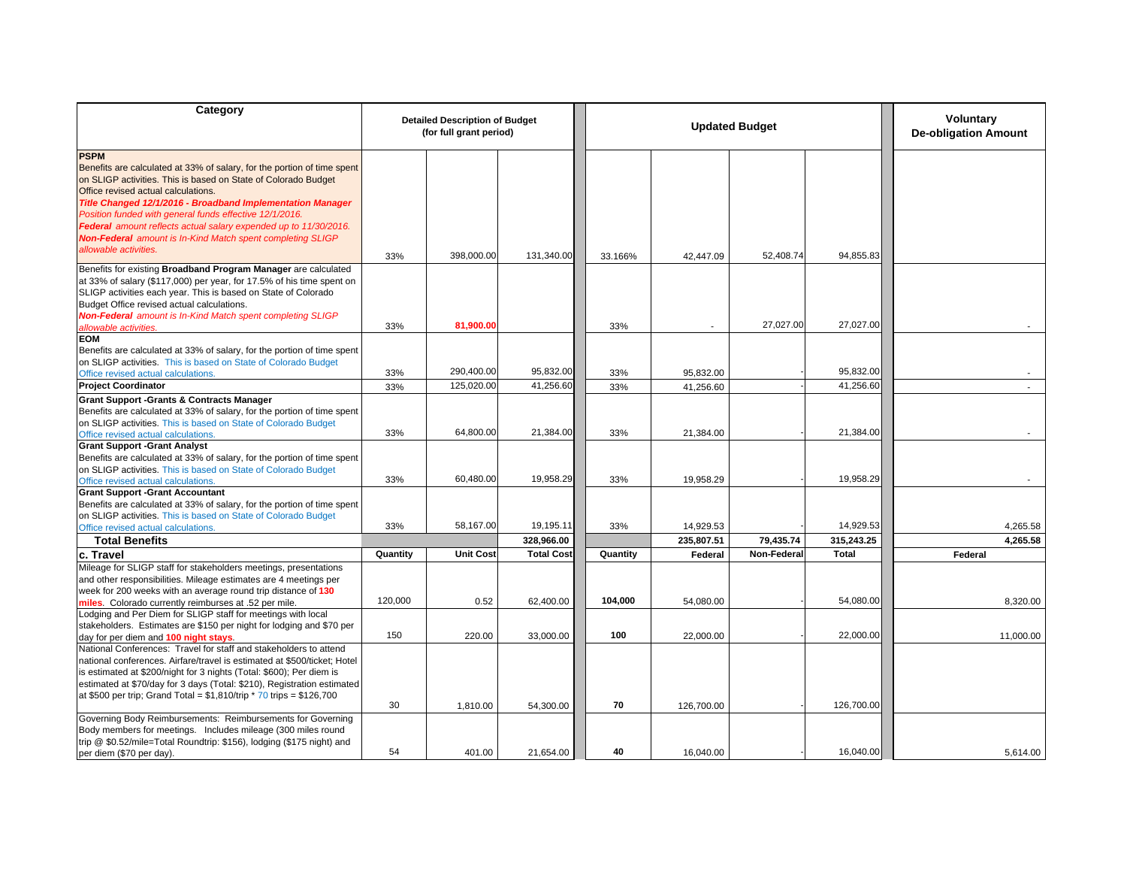| Category                                                                                                                                  | <b>Detailed Description of Budget</b><br><b>Updated Budget</b><br>(for full grant period) |                  |                   |          |            | <b>Voluntary</b><br><b>De-obligation Amount</b> |              |           |
|-------------------------------------------------------------------------------------------------------------------------------------------|-------------------------------------------------------------------------------------------|------------------|-------------------|----------|------------|-------------------------------------------------|--------------|-----------|
| <b>PSPM</b>                                                                                                                               |                                                                                           |                  |                   |          |            |                                                 |              |           |
|                                                                                                                                           |                                                                                           |                  |                   |          |            |                                                 |              |           |
| Benefits are calculated at 33% of salary, for the portion of time spent<br>on SLIGP activities. This is based on State of Colorado Budget |                                                                                           |                  |                   |          |            |                                                 |              |           |
| Office revised actual calculations.                                                                                                       |                                                                                           |                  |                   |          |            |                                                 |              |           |
|                                                                                                                                           |                                                                                           |                  |                   |          |            |                                                 |              |           |
| Title Changed 12/1/2016 - Broadband Implementation Manager                                                                                |                                                                                           |                  |                   |          |            |                                                 |              |           |
| Position funded with general funds effective 12/1/2016.                                                                                   |                                                                                           |                  |                   |          |            |                                                 |              |           |
| Federal amount reflects actual salary expended up to 11/30/2016.                                                                          |                                                                                           |                  |                   |          |            |                                                 |              |           |
| <b>Non-Federal</b> amount is In-Kind Match spent completing SLIGP                                                                         |                                                                                           |                  |                   |          |            |                                                 |              |           |
| allowable activities.                                                                                                                     | 33%                                                                                       | 398,000,00       | 131,340.00        | 33.166%  | 42,447.09  | 52,408.74                                       | 94,855.83    |           |
| Benefits for existing Broadband Program Manager are calculated                                                                            |                                                                                           |                  |                   |          |            |                                                 |              |           |
| at 33% of salary (\$117,000) per year, for 17.5% of his time spent on                                                                     |                                                                                           |                  |                   |          |            |                                                 |              |           |
| SLIGP activities each year. This is based on State of Colorado                                                                            |                                                                                           |                  |                   |          |            |                                                 |              |           |
| Budget Office revised actual calculations.                                                                                                |                                                                                           |                  |                   |          |            |                                                 |              |           |
| <b>Non-Federal</b> amount is In-Kind Match spent completing SLIGP                                                                         |                                                                                           |                  |                   |          |            |                                                 |              |           |
| allowable activities.                                                                                                                     | 33%                                                                                       | 81,900.0         |                   | 33%      |            | 27,027.00                                       | 27,027.00    |           |
| <b>EOM</b>                                                                                                                                |                                                                                           |                  |                   |          |            |                                                 |              |           |
| Benefits are calculated at 33% of salary, for the portion of time spent                                                                   |                                                                                           |                  |                   |          |            |                                                 |              |           |
| on SLIGP activities. This is based on State of Colorado Budget                                                                            |                                                                                           |                  |                   |          |            |                                                 |              |           |
| Office revised actual calculations.                                                                                                       | 33%                                                                                       | 290,400.00       | 95,832.00         | 33%      | 95,832.00  |                                                 | 95,832.00    |           |
| <b>Project Coordinator</b>                                                                                                                | 33%                                                                                       | 125,020.00       | 41,256.60         | 33%      | 41,256.60  |                                                 | 41,256.60    |           |
| <b>Grant Support -Grants &amp; Contracts Manager</b>                                                                                      |                                                                                           |                  |                   |          |            |                                                 |              |           |
| Benefits are calculated at 33% of salary, for the portion of time spent                                                                   |                                                                                           |                  |                   |          |            |                                                 |              |           |
| on SLIGP activities. This is based on State of Colorado Budget                                                                            |                                                                                           |                  |                   |          |            |                                                 |              |           |
| Office revised actual calculations.                                                                                                       | 33%                                                                                       | 64,800.00        | 21,384.00         | 33%      | 21,384.00  |                                                 | 21,384.00    |           |
| <b>Grant Support -Grant Analyst</b>                                                                                                       |                                                                                           |                  |                   |          |            |                                                 |              |           |
| Benefits are calculated at 33% of salary, for the portion of time spent                                                                   |                                                                                           |                  |                   |          |            |                                                 |              |           |
| on SLIGP activities. This is based on State of Colorado Budget                                                                            |                                                                                           |                  |                   |          |            |                                                 |              |           |
| Office revised actual calculations.                                                                                                       | 33%                                                                                       | 60,480.00        | 19,958.29         | 33%      | 19,958.29  |                                                 | 19,958.29    |           |
| <b>Grant Support -Grant Accountant</b>                                                                                                    |                                                                                           |                  |                   |          |            |                                                 |              |           |
| Benefits are calculated at 33% of salary, for the portion of time spent                                                                   |                                                                                           |                  |                   |          |            |                                                 |              |           |
| on SLIGP activities. This is based on State of Colorado Budget                                                                            |                                                                                           |                  |                   |          |            |                                                 |              |           |
| Office revised actual calculations.                                                                                                       | 33%                                                                                       | 58.167.00        | 19,195.11         | 33%      | 14,929.53  |                                                 | 14,929.53    | 4,265.58  |
| <b>Total Benefits</b>                                                                                                                     |                                                                                           |                  | 328.966.00        |          | 235.807.51 | 79.435.74                                       | 315.243.25   | 4,265.58  |
| c. Travel                                                                                                                                 | Quantity                                                                                  | <b>Unit Cost</b> | <b>Total Cost</b> | Quantity | Federal    | Non-Federal                                     | <b>Total</b> | Federal   |
| Mileage for SLIGP staff for stakeholders meetings, presentations                                                                          |                                                                                           |                  |                   |          |            |                                                 |              |           |
| and other responsibilities. Mileage estimates are 4 meetings per                                                                          |                                                                                           |                  |                   |          |            |                                                 |              |           |
| week for 200 weeks with an average round trip distance of 130                                                                             |                                                                                           |                  |                   |          |            |                                                 |              |           |
| miles Colorado currently reimburses at .52 per mile.                                                                                      | 120,000                                                                                   | 0.52             | 62,400.00         | 104,000  | 54,080.00  |                                                 | 54,080.00    | 8,320.00  |
| Lodging and Per Diem for SLIGP staff for meetings with local                                                                              |                                                                                           |                  |                   |          |            |                                                 |              |           |
| stakeholders. Estimates are \$150 per night for lodging and \$70 per                                                                      |                                                                                           |                  |                   |          |            |                                                 |              |           |
| day for per diem and 100 night stays.                                                                                                     | 150                                                                                       | 220.00           | 33,000.00         | 100      | 22,000.00  |                                                 | 22,000.00    | 11,000.00 |
| National Conferences: Travel for staff and stakeholders to attend                                                                         |                                                                                           |                  |                   |          |            |                                                 |              |           |
| national conferences. Airfare/travel is estimated at \$500/ticket; Hotel                                                                  |                                                                                           |                  |                   |          |            |                                                 |              |           |
| is estimated at \$200/night for 3 nights (Total: \$600); Per diem is                                                                      |                                                                                           |                  |                   |          |            |                                                 |              |           |
| estimated at \$70/day for 3 days (Total: \$210), Registration estimated                                                                   |                                                                                           |                  |                   |          |            |                                                 |              |           |
|                                                                                                                                           |                                                                                           |                  |                   |          |            |                                                 |              |           |
| at \$500 per trip; Grand Total = \$1,810/trip $*$ 70 trips = \$126,700                                                                    | 30                                                                                        | 1,810.00         | 54,300.00         | 70       | 126,700.00 |                                                 | 126,700.00   |           |
| Governing Body Reimbursements: Reimbursements for Governing                                                                               |                                                                                           |                  |                   |          |            |                                                 |              |           |
| Body members for meetings. Includes mileage (300 miles round                                                                              |                                                                                           |                  |                   |          |            |                                                 |              |           |
| trip @ \$0.52/mile=Total Roundtrip: \$156), lodging (\$175 night) and                                                                     |                                                                                           |                  |                   |          |            |                                                 |              |           |
| per diem (\$70 per day).                                                                                                                  | 54                                                                                        | 401.00           | 21,654.00         | 40       | 16,040.00  |                                                 | 16,040.00    | 5,614.00  |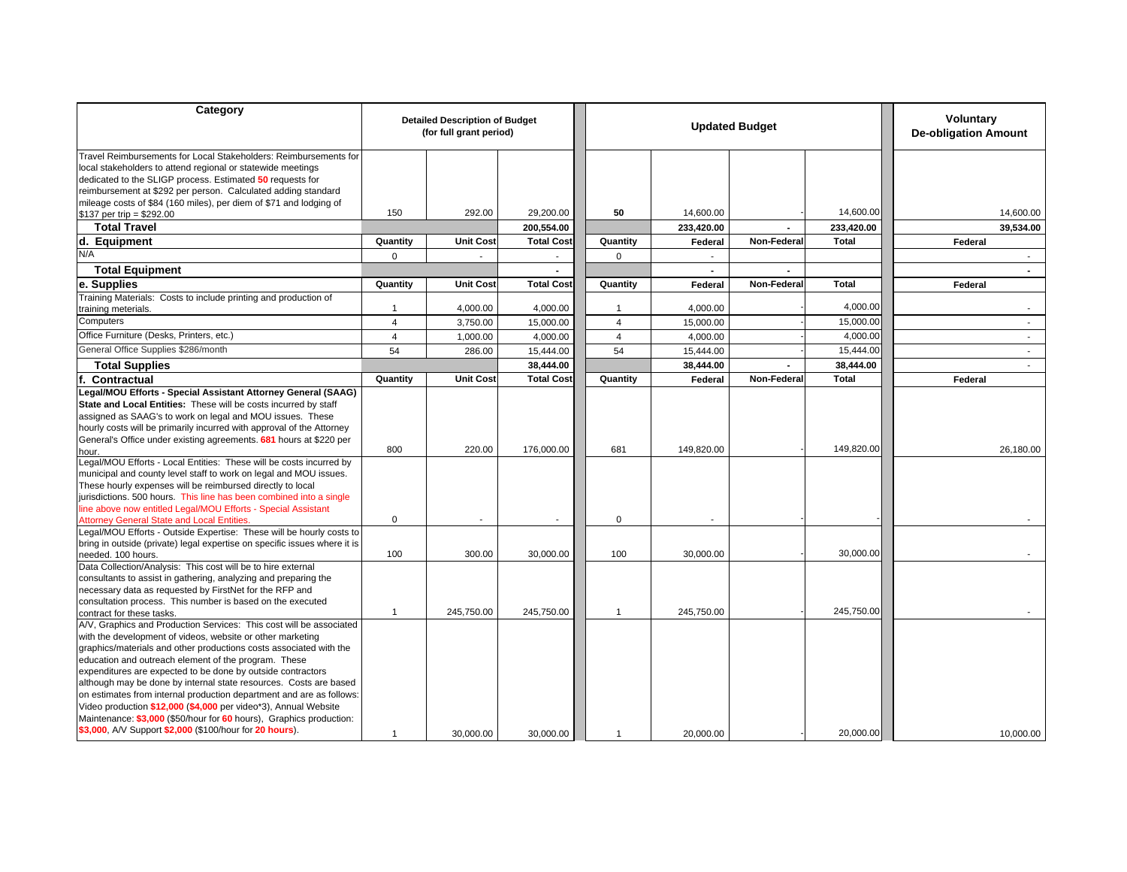| Category                                                                                                                                                                                                                                                                                                                                                                                                                                                                                                                                                                                                                                           |                | <b>Detailed Description of Budget</b><br>(for full grant period) |                   |                | <b>Updated Budget</b>    | <b>Voluntary</b><br><b>De-obligation Amount</b> |              |                          |
|----------------------------------------------------------------------------------------------------------------------------------------------------------------------------------------------------------------------------------------------------------------------------------------------------------------------------------------------------------------------------------------------------------------------------------------------------------------------------------------------------------------------------------------------------------------------------------------------------------------------------------------------------|----------------|------------------------------------------------------------------|-------------------|----------------|--------------------------|-------------------------------------------------|--------------|--------------------------|
| Travel Reimbursements for Local Stakeholders: Reimbursements for<br>local stakeholders to attend regional or statewide meetings<br>dedicated to the SLIGP process. Estimated 50 requests for<br>reimbursement at \$292 per person. Calculated adding standard                                                                                                                                                                                                                                                                                                                                                                                      |                |                                                                  |                   |                |                          |                                                 |              |                          |
| mileage costs of \$84 (160 miles), per diem of \$71 and lodging of<br>$$137$ per trip = \$292.00                                                                                                                                                                                                                                                                                                                                                                                                                                                                                                                                                   | 150            | 292.00                                                           | 29,200.00         | 50             | 14,600.00                |                                                 | 14,600.00    | 14,600.00                |
| <b>Total Travel</b>                                                                                                                                                                                                                                                                                                                                                                                                                                                                                                                                                                                                                                |                |                                                                  | 200,554.00        |                | 233,420.00               |                                                 | 233,420.00   | 39,534.00                |
| d. Equipment                                                                                                                                                                                                                                                                                                                                                                                                                                                                                                                                                                                                                                       | Quantity       | <b>Unit Cost</b>                                                 | <b>Total Cost</b> | Quantity       | Federal                  | Non-Federal                                     | <b>Total</b> | Federal                  |
| N/A                                                                                                                                                                                                                                                                                                                                                                                                                                                                                                                                                                                                                                                | 0              | $\sim$                                                           | $\sim$            | $\mathbf 0$    | $\overline{\phantom{a}}$ |                                                 |              |                          |
| <b>Total Equipment</b>                                                                                                                                                                                                                                                                                                                                                                                                                                                                                                                                                                                                                             |                |                                                                  |                   |                | $\blacksquare$           |                                                 |              |                          |
| e. Supplies                                                                                                                                                                                                                                                                                                                                                                                                                                                                                                                                                                                                                                        | Quantity       | <b>Unit Cost</b>                                                 | <b>Total Cost</b> | Quantity       | Federal                  | Non-Federal                                     | <b>Total</b> | Federal                  |
| Training Materials: Costs to include printing and production of                                                                                                                                                                                                                                                                                                                                                                                                                                                                                                                                                                                    |                |                                                                  |                   |                |                          |                                                 |              |                          |
| training meterials.                                                                                                                                                                                                                                                                                                                                                                                                                                                                                                                                                                                                                                | 1              | 4,000.00                                                         | 4,000.00          | $\mathbf 1$    | 4,000.00                 |                                                 | 4,000.00     |                          |
| Computers                                                                                                                                                                                                                                                                                                                                                                                                                                                                                                                                                                                                                                          | 4              | 3,750.00                                                         | 15,000.00         | $\overline{4}$ | 15,000.00                |                                                 | 15,000.00    | $\overline{\phantom{a}}$ |
| Office Furniture (Desks, Printers, etc.)                                                                                                                                                                                                                                                                                                                                                                                                                                                                                                                                                                                                           | $\overline{4}$ | 1,000.00                                                         | 4,000.00          | $\overline{4}$ | 4,000.00                 |                                                 | 4,000.00     | $\sim$                   |
| General Office Supplies \$286/month                                                                                                                                                                                                                                                                                                                                                                                                                                                                                                                                                                                                                | 54             | 286.00                                                           | 15,444.00         | 54             | 15,444.00                |                                                 | 15,444.00    | $\overline{\phantom{a}}$ |
| <b>Total Supplies</b>                                                                                                                                                                                                                                                                                                                                                                                                                                                                                                                                                                                                                              |                |                                                                  | 38,444.00         |                | 38,444.00                |                                                 | 38,444.00    |                          |
| Contractual                                                                                                                                                                                                                                                                                                                                                                                                                                                                                                                                                                                                                                        | Quantity       | <b>Unit Cost</b>                                                 | <b>Total Cost</b> | Quantity       | Federal                  | Non-Federal                                     | Total        | Federal                  |
| Legal/MOU Efforts - Special Assistant Attorney General (SAAG)                                                                                                                                                                                                                                                                                                                                                                                                                                                                                                                                                                                      |                |                                                                  |                   |                |                          |                                                 |              |                          |
| State and Local Entities: These will be costs incurred by staff<br>assigned as SAAG's to work on legal and MOU issues. These<br>hourly costs will be primarily incurred with approval of the Attorney<br>General's Office under existing agreements. 681 hours at \$220 per                                                                                                                                                                                                                                                                                                                                                                        | 800            | 220.00                                                           | 176,000.00        | 681            | 149,820.00               |                                                 | 149,820.00   | 26,180.00                |
| hour.<br>Legal/MOU Efforts - Local Entities: These will be costs incurred by<br>municipal and county level staff to work on legal and MOU issues.<br>These hourly expenses will be reimbursed directly to local<br>jurisdictions. 500 hours. This line has been combined into a single<br>line above now entitled Legal/MOU Efforts - Special Assistant<br><b>Attorney General State and Local Entities.</b>                                                                                                                                                                                                                                       | 0              |                                                                  |                   | 0              |                          |                                                 |              |                          |
| Legal/MOU Efforts - Outside Expertise: These will be hourly costs to<br>bring in outside (private) legal expertise on specific issues where it is<br>needed. 100 hours.                                                                                                                                                                                                                                                                                                                                                                                                                                                                            | 100            | 300.00                                                           | 30,000.00         | 100            | 30,000.00                |                                                 | 30,000.00    |                          |
| Data Collection/Analysis: This cost will be to hire external<br>consultants to assist in gathering, analyzing and preparing the<br>necessary data as requested by FirstNet for the RFP and<br>consultation process. This number is based on the executed                                                                                                                                                                                                                                                                                                                                                                                           |                |                                                                  |                   |                |                          |                                                 |              |                          |
| contract for these tasks.<br>A/V, Graphics and Production Services: This cost will be associated<br>with the development of videos, website or other marketing<br>graphics/materials and other productions costs associated with the<br>education and outreach element of the program. These<br>expenditures are expected to be done by outside contractors<br>although may be done by internal state resources. Costs are based<br>on estimates from internal production department and are as follows:<br>Video production \$12,000 (\$4,000 per video*3), Annual Website<br>Maintenance: \$3,000 (\$50/hour for 60 hours), Graphics production: | -1             | 245,750.00                                                       | 245,750.00        | $\overline{1}$ | 245,750.00               |                                                 | 245,750.00   |                          |
| \$3,000, A/V Support \$2,000 (\$100/hour for 20 hours).                                                                                                                                                                                                                                                                                                                                                                                                                                                                                                                                                                                            | -1             | 30,000.00                                                        | 30.000.00         | $\mathbf 1$    | 20,000.00                |                                                 | 20,000.00    | 10,000.00                |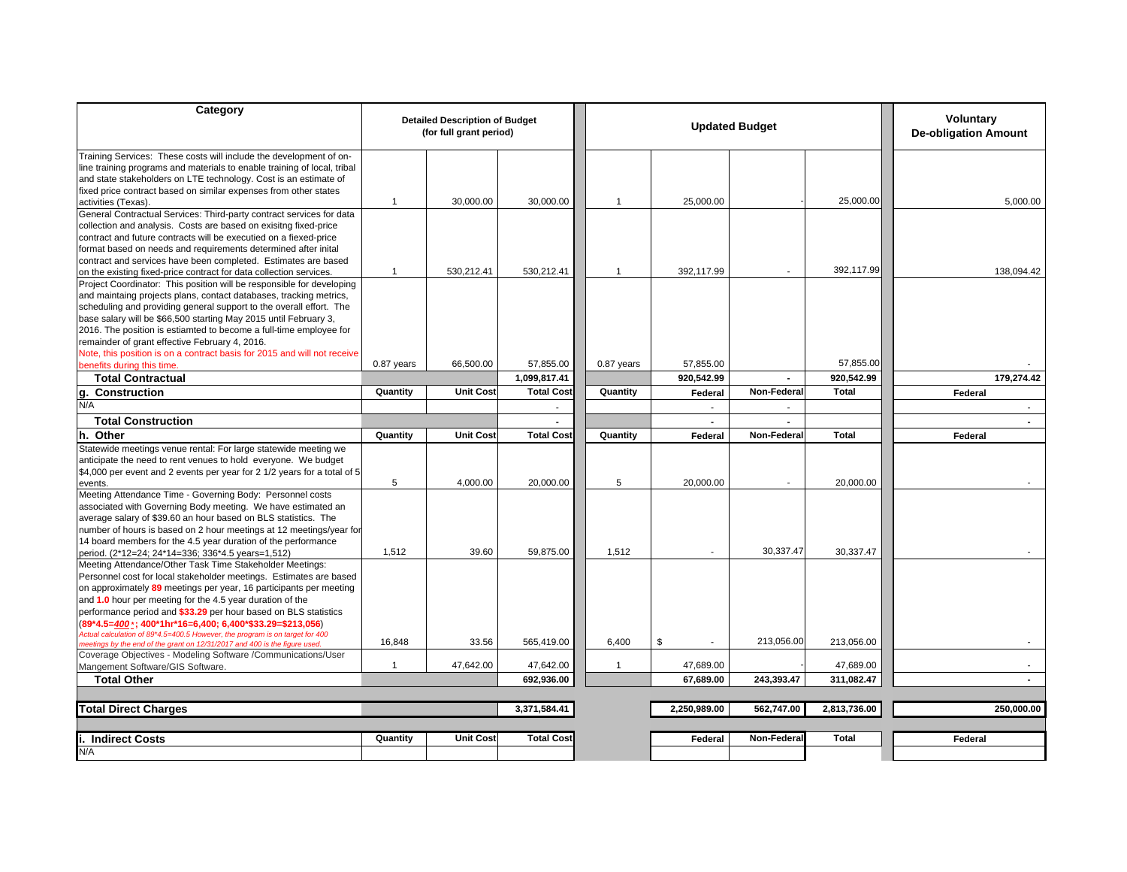| Category                                                                                                                                                                                                                                                                                                                                                                                                                                                                                                                                                         |                | <b>Detailed Description of Budget</b><br>(for full grant period) |                   | <b>Updated Budget</b> |              |                |              | <b>Voluntary</b><br><b>De-obligation Amount</b> |  |
|------------------------------------------------------------------------------------------------------------------------------------------------------------------------------------------------------------------------------------------------------------------------------------------------------------------------------------------------------------------------------------------------------------------------------------------------------------------------------------------------------------------------------------------------------------------|----------------|------------------------------------------------------------------|-------------------|-----------------------|--------------|----------------|--------------|-------------------------------------------------|--|
| Training Services: These costs will include the development of on-<br>line training programs and materials to enable training of local, tribal<br>and state stakeholders on LTE technology. Cost is an estimate of<br>fixed price contract based on similar expenses from other states<br>activities (Texas).                                                                                                                                                                                                                                                    | 1              | 30,000.00                                                        | 30,000.00         | $\overline{1}$        | 25,000.00    |                | 25,000.00    | 5,000.00                                        |  |
| General Contractual Services: Third-party contract services for data<br>collection and analysis. Costs are based on exisitng fixed-price<br>contract and future contracts will be executied on a fiexed-price<br>format based on needs and requirements determined after inital<br>contract and services have been completed. Estimates are based                                                                                                                                                                                                                |                |                                                                  |                   |                       |              |                |              |                                                 |  |
| on the existing fixed-price contract for data collection services.<br>Project Coordinator: This position will be responsible for developing<br>and maintaing projects plans, contact databases, tracking metrics,<br>scheduling and providing general support to the overall effort. The<br>base salary will be \$66,500 starting May 2015 until February 3,<br>2016. The position is estiamted to become a full-time employee for<br>remainder of grant effective February 4, 2016.<br>Note, this position is on a contract basis for 2015 and will not receive | $\overline{1}$ | 530,212.41                                                       | 530,212.41        | $\overline{1}$        | 392,117.99   |                | 392,117.99   | 138,094.42                                      |  |
| benefits during this time.                                                                                                                                                                                                                                                                                                                                                                                                                                                                                                                                       | 0.87 years     | 66,500.00                                                        | 57,855.00         | 0.87 years            | 57,855.00    |                | 57,855.00    |                                                 |  |
| <b>Total Contractual</b>                                                                                                                                                                                                                                                                                                                                                                                                                                                                                                                                         |                |                                                                  | 1,099,817.41      |                       | 920,542.99   |                | 920,542.99   | 179,274.42                                      |  |
| <b>Construction</b><br>g.                                                                                                                                                                                                                                                                                                                                                                                                                                                                                                                                        | Quantity       | <b>Unit Cost</b>                                                 | <b>Total Cost</b> | Quantity              | Federal      | Non-Federal    | <b>Total</b> | Federal                                         |  |
| N/A                                                                                                                                                                                                                                                                                                                                                                                                                                                                                                                                                              |                |                                                                  |                   |                       |              |                |              | $\sim$                                          |  |
| <b>Total Construction</b>                                                                                                                                                                                                                                                                                                                                                                                                                                                                                                                                        |                |                                                                  | ä,                |                       |              | $\blacksquare$ |              |                                                 |  |
| Other<br>h.                                                                                                                                                                                                                                                                                                                                                                                                                                                                                                                                                      | Quantity       | <b>Unit Cost</b>                                                 | <b>Total Cost</b> | Quantity              | Federal      | Non-Federa     | <b>Total</b> | Federal                                         |  |
| Statewide meetings venue rental: For large statewide meeting we<br>anticipate the need to rent venues to hold everyone. We budget<br>\$4,000 per event and 2 events per year for 2 1/2 years for a total of 5<br>events.                                                                                                                                                                                                                                                                                                                                         | 5              | 4,000.00                                                         | 20,000.00         | 5                     | 20,000.00    |                | 20,000.00    |                                                 |  |
| Meeting Attendance Time - Governing Body: Personnel costs<br>associated with Governing Body meeting. We have estimated an<br>average salary of \$39.60 an hour based on BLS statistics. The<br>number of hours is based on 2 hour meetings at 12 meetings/year for<br>14 board members for the 4.5 year duration of the performance<br>period. (2*12=24; 24*14=336; 336*4.5 years=1,512)                                                                                                                                                                         | 1,512          | 39.60                                                            | 59,875.00         | 1,512                 |              | 30,337.47      | 30,337.47    |                                                 |  |
| Meeting Attendance/Other Task Time Stakeholder Meetings:<br>Personnel cost for local stakeholder meetings. Estimates are based<br>on approximately 89 meetings per year, 16 participants per meeting<br>and 1.0 hour per meeting for the 4.5 year duration of the<br>performance period and \$33.29 per hour based on BLS statistics<br>(89*4.5=400 *; 400*1hr*16=6,400; 6,400*\$33.29=\$213,056)<br>Actual calculation of 89*4.5=400.5 However, the program is on target for 400                                                                                |                |                                                                  |                   |                       |              |                |              |                                                 |  |
| meetings by the end of the grant on 12/31/2017 and 400 is the figure used.                                                                                                                                                                                                                                                                                                                                                                                                                                                                                       | 16,848         | 33.56                                                            | 565,419.00        | 6,400                 | \$           | 213,056.00     | 213,056.00   |                                                 |  |
| Coverage Objectives - Modeling Software /Communications/User<br>Mangement Software/GIS Software.                                                                                                                                                                                                                                                                                                                                                                                                                                                                 | $\mathbf 1$    | 47,642.00                                                        | 47,642.00         | -1                    | 47,689.00    |                | 47,689.00    |                                                 |  |
| <b>Total Other</b>                                                                                                                                                                                                                                                                                                                                                                                                                                                                                                                                               |                |                                                                  | 692,936.00        |                       | 67,689.00    | 243,393.47     | 311,082.47   | $\blacksquare$                                  |  |
|                                                                                                                                                                                                                                                                                                                                                                                                                                                                                                                                                                  |                |                                                                  |                   |                       |              |                |              |                                                 |  |
| <b>Total Direct Charges</b>                                                                                                                                                                                                                                                                                                                                                                                                                                                                                                                                      |                |                                                                  | 3,371,584.41      |                       | 2,250,989.00 | 562,747.00     | 2,813,736.00 | 250,000.00                                      |  |
|                                                                                                                                                                                                                                                                                                                                                                                                                                                                                                                                                                  | Quantity       | <b>Unit Cost</b>                                                 | <b>Total Cost</b> |                       | Federal      | Non-Federal    | Total        |                                                 |  |
| <b>Indirect Costs</b><br>N/A                                                                                                                                                                                                                                                                                                                                                                                                                                                                                                                                     |                |                                                                  |                   |                       |              |                |              | Federal                                         |  |
|                                                                                                                                                                                                                                                                                                                                                                                                                                                                                                                                                                  |                |                                                                  |                   |                       |              |                |              |                                                 |  |